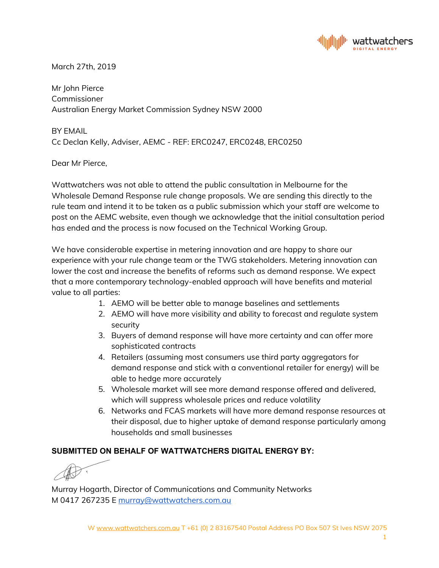

March 27th, 2019

Mr John Pierce Commissioner Australian Energy Market Commission Sydney NSW 2000

BY EMAIL Cc Declan Kelly, Adviser, AEMC - REF: ERC0247, ERC0248, ERC0250

Dear Mr Pierce,

Wattwatchers was not able to attend the public consultation in Melbourne for the Wholesale Demand Response rule change proposals. We are sending this directly to the rule team and intend it to be taken as a public submission which your staff are welcome to post on the AEMC website, even though we acknowledge that the initial consultation period has ended and the process is now focused on the Technical Working Group.

We have considerable expertise in metering innovation and are happy to share our experience with your rule change team or the TWG stakeholders. Metering innovation can lower the cost and increase the benefits of reforms such as demand response. We expect that a more contemporary technology-enabled approach will have benefits and material value to all parties:

- 1. AEMO will be better able to manage baselines and settlements
- 2. AEMO will have more visibility and ability to forecast and regulate system security
- 3. Buyers of demand response will have more certainty and can offer more sophisticated contracts
- 4. Retailers (assuming most consumers use third party aggregators for demand response and stick with a conventional retailer for energy) will be able to hedge more accurately
- 5. Wholesale market will see more demand response offered and delivered, which will suppress wholesale prices and reduce volatility
- 6. Networks and FCAS markets will have more demand response resources at their disposal, due to higher uptake of demand response particularly among households and small businesses

## **SUBMITTED ON BEHALF OF WATTWATCHERS DIGITAL ENERGY BY:**

Murray Hogarth, Director of Communications and Community Networks M 0417 267235 E [murray@wattwatchers.com.au](mailto:murray@wattwatchers.com.au)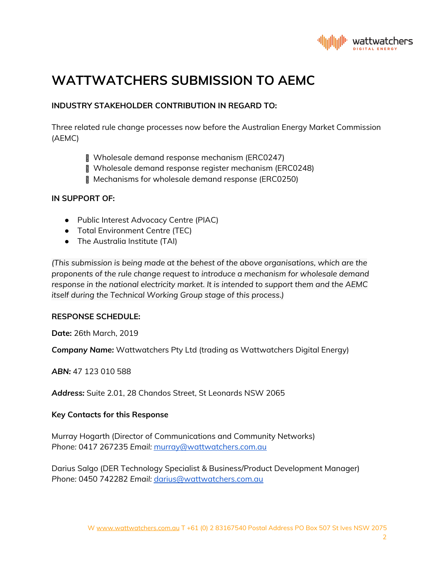

# **WATTWATCHERS SUBMISSION TO AEMC**

## **INDUSTRY STAKEHOLDER CONTRIBUTION IN REGARD TO:**

Three related rule change processes now before the Australian Energy Market Commission (AEMC)

- Wholesale demand response mechanism (ERC0247)
- Wholesale demand response register mechanism (ERC0248)
- Mechanisms for wholesale demand response (ERC0250)

#### **IN SUPPORT OF:**

- Public Interest Advocacy Centre (PIAC)
- Total Environment Centre (TEC)
- The Australia Institute (TAI)

*(This submission is being made at the behest of the above organisations, which are the proponents of the rule change request to introduce a mechanism for wholesale demand response in the national electricity market. It is intended to support them and the AEMC itself during the Technical Working Group stage of this process.)*

#### **RESPONSE SCHEDULE:**

**Date:** 26th March, 2019

*Company Name:* Wattwatchers Pty Ltd (trading as Wattwatchers Digital Energy)

*ABN:* 47 123 010 588

*Address:* Suite 2.01, 28 Chandos Street, St Leonards NSW 2065

#### **Key Contacts for this Response**

Murray Hogarth (Director of Communications and Community Networks) *Phone:* 0417 267235 *Email:* [murray@wattwatchers.com.au](mailto:murray@wattwatchers.com.au)

Darius Salgo (DER Technology Specialist & Business/Product Development Manager) *Phone:* 0450 742282 *Email:* [darius@wattwatchers.com.au](mailto:darius@wattwatchers.com.au)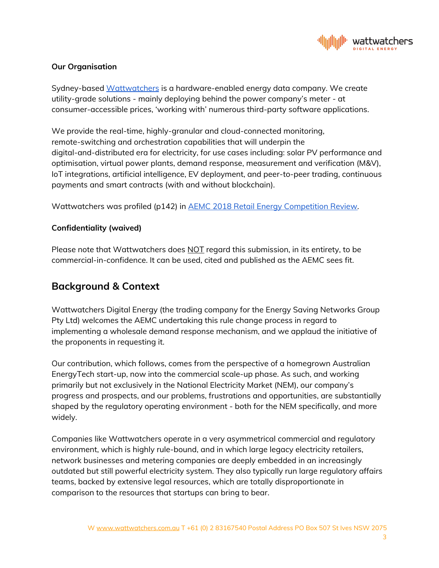

### **Our Organisation**

Sydney-based [Wattwatchers](https://wattwatchers.com.au/) is a hardware-enabled energy data company. We create utility-grade solutions - mainly deploying behind the power company's meter - at consumer-accessible prices, 'working with' numerous third-party software applications.

We provide the real-time, highly-granular and cloud-connected monitoring, remote-switching and orchestration capabilities that will underpin the digital-and-distributed era for electricity, for use cases including: solar PV performance and optimisation, virtual power plants, demand response, measurement and verification (M&V), IoT integrations, artificial intelligence, EV deployment, and peer-to-peer trading, continuous payments and smart contracts (with and without blockchain).

Wattwatchers was profiled (p142) in AEMC 2018 Retail Energy [Competition](https://www.aemc.gov.au/markets-reviews-advice/2018-retail-energy-competition-review) Review.

### **Confidentiality (waived)**

Please note that Wattwatchers does NOT regard this submission, in its entirety, to be commercial-in-confidence. It can be used, cited and published as the AEMC sees fit.

## **Background & Context**

Wattwatchers Digital Energy (the trading company for the Energy Saving Networks Group Pty Ltd) welcomes the AEMC undertaking this rule change process in regard to implementing a wholesale demand response mechanism, and we applaud the initiative of the proponents in requesting it.

Our contribution, which follows, comes from the perspective of a homegrown Australian EnergyTech start-up, now into the commercial scale-up phase. As such, and working primarily but not exclusively in the National Electricity Market (NEM), our company's progress and prospects, and our problems, frustrations and opportunities, are substantially shaped by the regulatory operating environment - both for the NEM specifically, and more widely.

Companies like Wattwatchers operate in a very asymmetrical commercial and regulatory environment, which is highly rule-bound, and in which large legacy electricity retailers, network businesses and metering companies are deeply embedded in an increasingly outdated but still powerful electricity system. They also typically run large regulatory affairs teams, backed by extensive legal resources, which are totally disproportionate in comparison to the resources that startups can bring to bear.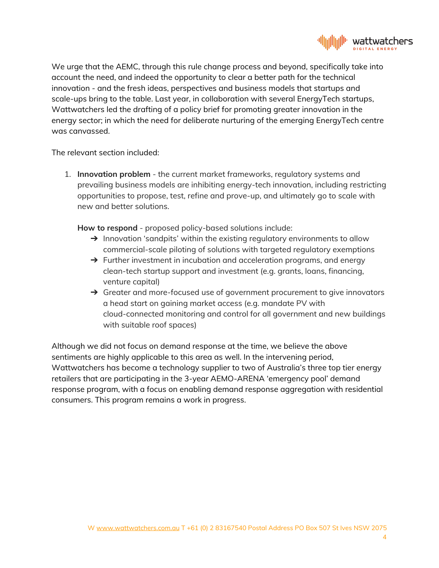

We urge that the AEMC, through this rule change process and beyond, specifically take into account the need, and indeed the opportunity to clear a better path for the technical innovation - and the fresh ideas, perspectives and business models that startups and scale-ups bring to the table. Last year, in collaboration with several EnergyTech startups, Wattwatchers led the drafting of a policy brief for promoting greater innovation in the energy sector; in which the need for deliberate nurturing of the emerging EnergyTech centre was canvassed.

The relevant section included:

1. **Innovation problem** - the current market frameworks, regulatory systems and prevailing business models are inhibiting energy-tech innovation, including restricting opportunities to propose, test, refine and prove-up, and ultimately go to scale with new and better solutions.

**How to respond** - proposed policy-based solutions include:

- $\rightarrow$  Innovation 'sandpits' within the existing regulatory environments to allow commercial-scale piloting of solutions with targeted regulatory exemptions
- → Further investment in incubation and acceleration programs, and energy clean-tech startup support and investment (e.g. grants, loans, financing, venture capital)
- → Greater and more-focused use of government procurement to give innovators a head start on gaining market access (e.g. mandate PV with cloud-connected monitoring and control for all government and new buildings with suitable roof spaces)

Although we did not focus on demand response at the time, we believe the above sentiments are highly applicable to this area as well. In the intervening period, Wattwatchers has become a technology supplier to two of Australia's three top tier energy retailers that are participating in the 3-year AEMO-ARENA 'emergency pool' demand response program, with a focus on enabling demand response aggregation with residential consumers. This program remains a work in progress.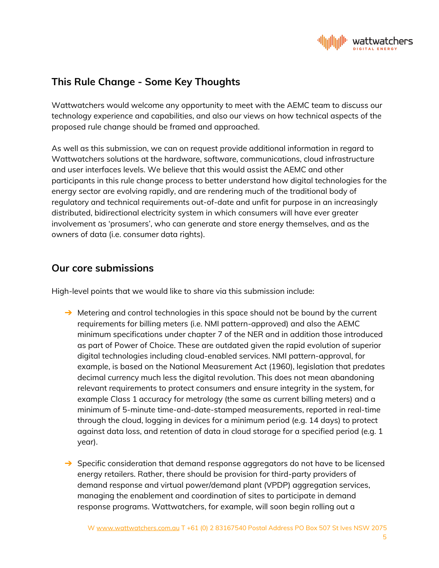

# **This Rule Change - Some Key Thoughts**

Wattwatchers would welcome any opportunity to meet with the AEMC team to discuss our technology experience and capabilities, and also our views on how technical aspects of the proposed rule change should be framed and approached.

As well as this submission, we can on request provide additional information in regard to Wattwatchers solutions at the hardware, software, communications, cloud infrastructure and user interfaces levels. We believe that this would assist the AEMC and other participants in this rule change process to better understand how digital technologies for the energy sector are evolving rapidly, and are rendering much of the traditional body of regulatory and technical requirements out-of-date and unfit for purpose in an increasingly distributed, bidirectional electricity system in which consumers will have ever greater involvement as 'prosumers', who can generate and store energy themselves, and as the owners of data (i.e. consumer data rights).

## **Our core submissions**

High-level points that we would like to share via this submission include:

- $\rightarrow$  Metering and control technologies in this space should not be bound by the current requirements for billing meters (i.e. NMI pattern-approved) and also the AEMC minimum specifications under chapter 7 of the NER and in addition those introduced as part of Power of Choice. These are outdated given the rapid evolution of superior digital technologies including cloud-enabled services. NMI pattern-approval, for example, is based on the National Measurement Act (1960), legislation that predates decimal currency much less the digital revolution. This does not mean abandoning relevant requirements to protect consumers and ensure integrity in the system, for example Class 1 accuracy for metrology (the same as current billing meters) and a minimum of 5-minute time-and-date-stamped measurements, reported in real-time through the cloud, logging in devices for a minimum period (e.g. 14 days) to protect against data loss, and retention of data in cloud storage for a specified period (e.g. 1 year).
- $\rightarrow$  Specific consideration that demand response aggregators do not have to be licensed energy retailers. Rather, there should be provision for third-party providers of demand response and virtual power/demand plant (VPDP) aggregation services, managing the enablement and coordination of sites to participate in demand response programs. Wattwatchers, for example, will soon begin rolling out a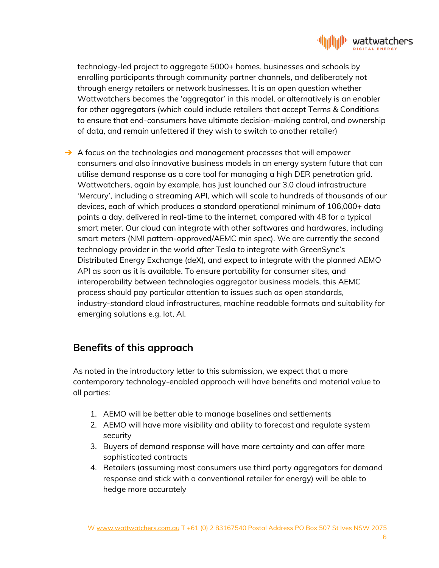

technology-led project to aggregate 5000+ homes, businesses and schools by enrolling participants through community partner channels, and deliberately not through energy retailers or network businesses. It is an open question whether Wattwatchers becomes the 'aggregator' in this model, or alternatively is an enabler for other aggregators (which could include retailers that accept Terms & Conditions to ensure that end-consumers have ultimate decision-making control, and ownership of data, and remain unfettered if they wish to switch to another retailer)

 $\rightarrow$  A focus on the technologies and management processes that will empower consumers and also innovative business models in an energy system future that can utilise demand response as a core tool for managing a high DER penetration grid. Wattwatchers, again by example, has just launched our 3.0 cloud infrastructure 'Mercury', including a streaming API, which will scale to hundreds of thousands of our devices, each of which produces a standard operational minimum of 106,000+ data points a day, delivered in real-time to the internet, compared with 48 for a typical smart meter. Our cloud can integrate with other softwares and hardwares, including smart meters (NMI pattern-approved/AEMC min spec). We are currently the second technology provider in the world after Tesla to integrate with GreenSync's Distributed Energy Exchange (deX), and expect to integrate with the planned AEMO API as soon as it is available. To ensure portability for consumer sites, and interoperability between technologies aggregator business models, this AEMC process should pay particular attention to issues such as open standards, industry-standard cloud infrastructures, machine readable formats and suitability for emerging solutions e.g. Iot, AI.

## **Benefits of this approach**

As noted in the introductory letter to this submission, we expect that a more contemporary technology-enabled approach will have benefits and material value to all parties:

- 1. AEMO will be better able to manage baselines and settlements
- 2. AEMO will have more visibility and ability to forecast and regulate system security
- 3. Buyers of demand response will have more certainty and can offer more sophisticated contracts
- 4. Retailers (assuming most consumers use third party aggregators for demand response and stick with a conventional retailer for energy) will be able to hedge more accurately